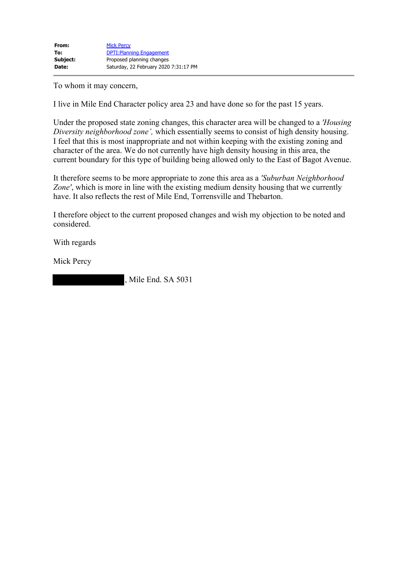To whom it may concern,

I live in Mile End Character policy area 23 and have done so for the past 15 years.

Under the proposed state zoning changes, this character area will be changed to a *'Housing Diversity neighborhood zone',* which essentially seems to consist of high density housing. I feel that this is most inappropriate and not within keeping with the existing zoning and character of the area. We do not currently have high density housing in this area, the current boundary for this type of building being allowed only to the East of Bagot Avenue.

It therefore seems to be more appropriate to zone this area as a *'Suburban Neighborhood Zone'*, which is more in line with the existing medium density housing that we currently have. It also reflects the rest of Mile End, Torrensville and Thebarton.

I therefore object to the current proposed changes and wish my objection to be noted and considered.

With regards

Mick Percy

, Mile End. SA 5031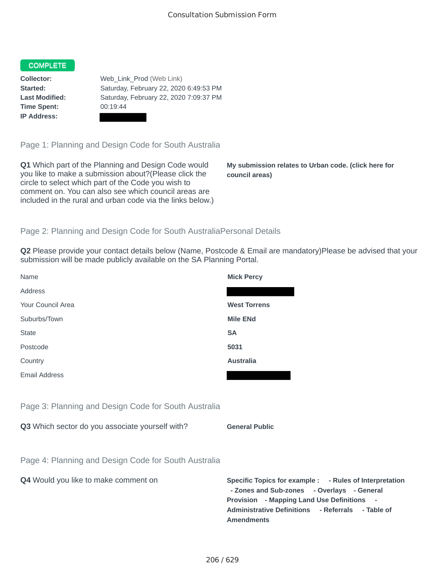## **COMPLETE**

**Time Spent:** 00:19:44 **IP Address:**

**Collector:** Web\_Link\_Prod (Web Link) **Started:** Saturday, February 22, 2020 6:49:53 PM **Last Modified:** Saturday, February 22, 2020 7:09:37 PM

Page 1: Planning and Design Code for South Australia

**Q1** Which part of the Planning and Design Code would you like to make a submission about?(Please click the circle to select which part of the Code you wish to comment on. You can also see which council areas are included in the rural and urban code via the links below.)

**My submission relates to Urban code. (click here for council areas)**

**- Rules of Interpretation** 

## Page 2: Planning and Design Code for South AustraliaPersonal Details

**Q2** Please provide your contact details below (Name, Postcode & Email are mandatory)Please be advised that your submission will be made publicly available on the SA Planning Portal.

| Name                                                 | <b>Mick Percy</b>                                                                                                                                                                                                 |
|------------------------------------------------------|-------------------------------------------------------------------------------------------------------------------------------------------------------------------------------------------------------------------|
| Address                                              |                                                                                                                                                                                                                   |
| Your Council Area                                    | <b>West Torrens</b>                                                                                                                                                                                               |
| Suburbs/Town                                         | <b>Mile ENd</b>                                                                                                                                                                                                   |
| <b>State</b>                                         | <b>SA</b>                                                                                                                                                                                                         |
| Postcode                                             | 5031                                                                                                                                                                                                              |
| Country                                              | <b>Australia</b>                                                                                                                                                                                                  |
| <b>Email Address</b>                                 |                                                                                                                                                                                                                   |
|                                                      |                                                                                                                                                                                                                   |
| Page 3: Planning and Design Code for South Australia |                                                                                                                                                                                                                   |
| Q3 Which sector do you associate yourself with?      | <b>General Public</b>                                                                                                                                                                                             |
|                                                      |                                                                                                                                                                                                                   |
| Page 4: Planning and Design Code for South Australia |                                                                                                                                                                                                                   |
| Q4 Would you like to make comment on                 | Specific Topics for example : - Rules of Interpreta<br>- Zones and Sub-zones - Overlays - General<br>Provision - Mapping Land Use Definitions -<br><b>Administrative Definitions</b><br>- Referrals<br>- Table of |

**Amendments**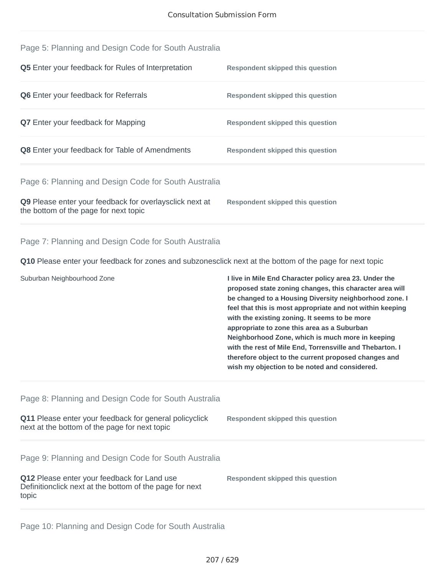| Page 5: Planning and Design Code for South Australia                                                                                                                    |                                                                                                                                                                                                                                                                                                                                                                                                                                                                                                                                                                   |
|-------------------------------------------------------------------------------------------------------------------------------------------------------------------------|-------------------------------------------------------------------------------------------------------------------------------------------------------------------------------------------------------------------------------------------------------------------------------------------------------------------------------------------------------------------------------------------------------------------------------------------------------------------------------------------------------------------------------------------------------------------|
| Q5 Enter your feedback for Rules of Interpretation                                                                                                                      | <b>Respondent skipped this question</b>                                                                                                                                                                                                                                                                                                                                                                                                                                                                                                                           |
| Q6 Enter your feedback for Referrals                                                                                                                                    | <b>Respondent skipped this question</b>                                                                                                                                                                                                                                                                                                                                                                                                                                                                                                                           |
| Q7 Enter your feedback for Mapping                                                                                                                                      | <b>Respondent skipped this question</b>                                                                                                                                                                                                                                                                                                                                                                                                                                                                                                                           |
| Q8 Enter your feedback for Table of Amendments                                                                                                                          | <b>Respondent skipped this question</b>                                                                                                                                                                                                                                                                                                                                                                                                                                                                                                                           |
| Page 6: Planning and Design Code for South Australia                                                                                                                    |                                                                                                                                                                                                                                                                                                                                                                                                                                                                                                                                                                   |
| Q9 Please enter your feedback for overlaysclick next at<br>the bottom of the page for next topic                                                                        | <b>Respondent skipped this question</b>                                                                                                                                                                                                                                                                                                                                                                                                                                                                                                                           |
| Page 7: Planning and Design Code for South Australia                                                                                                                    |                                                                                                                                                                                                                                                                                                                                                                                                                                                                                                                                                                   |
| Q10 Please enter your feedback for zones and subzonesclick next at the bottom of the page for next topic                                                                |                                                                                                                                                                                                                                                                                                                                                                                                                                                                                                                                                                   |
|                                                                                                                                                                         |                                                                                                                                                                                                                                                                                                                                                                                                                                                                                                                                                                   |
| Suburban Neighbourhood Zone                                                                                                                                             | I live in Mile End Character policy area 23. Under the<br>proposed state zoning changes, this character area will<br>be changed to a Housing Diversity neighborhood zone. I<br>feel that this is most appropriate and not within keeping<br>with the existing zoning. It seems to be more<br>appropriate to zone this area as a Suburban<br>Neighborhood Zone, which is much more in keeping<br>with the rest of Mile End, Torrensville and Thebarton. I<br>therefore object to the current proposed changes and<br>wish my objection to be noted and considered. |
| Page 8: Planning and Design Code for South Australia                                                                                                                    |                                                                                                                                                                                                                                                                                                                                                                                                                                                                                                                                                                   |
| Q11 Please enter your feedback for general policyclick<br>next at the bottom of the page for next topic                                                                 | <b>Respondent skipped this question</b>                                                                                                                                                                                                                                                                                                                                                                                                                                                                                                                           |
| Page 9: Planning and Design Code for South Australia<br>Q12 Please enter your feedback for Land use<br>Definitionclick next at the bottom of the page for next<br>topic | <b>Respondent skipped this question</b>                                                                                                                                                                                                                                                                                                                                                                                                                                                                                                                           |

Page 10: Planning and Design Code for South Australia